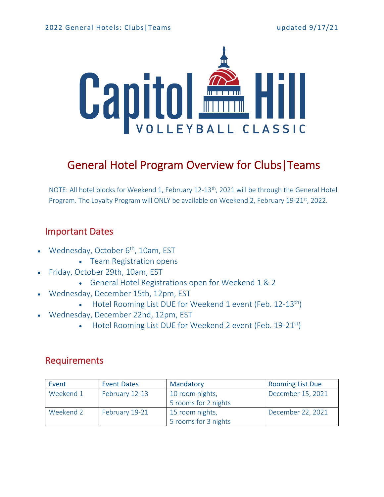

# General Hotel Program Overview for Clubs|Teams

NOTE: All hotel blocks for Weekend 1, February 12-13<sup>th</sup>, 2021 will be through the General Hotel Program. The Loyalty Program will ONLY be available on Weekend 2, February 19-21st, 2022.

### Important Dates

- Wednesday, October  $6<sup>th</sup>$ , 10am, EST
	- Team Registration opens
- Friday, October 29th, 10am, EST
	- General Hotel Registrations open for Weekend 1 & 2
- Wednesday, December 15th, 12pm, EST
	- Hotel Rooming List DUE for Weekend 1 event (Feb. 12-13<sup>th</sup>)
- Wednesday, December 22nd, 12pm, EST
	- Hotel Rooming List DUE for Weekend 2 event (Feb. 19-21st)

### Requirements

| Event     | <b>Event Dates</b> | Mandatory            | <b>Rooming List Due</b> |
|-----------|--------------------|----------------------|-------------------------|
| Weekend 1 | February 12-13     | 10 room nights,      | December 15, 2021       |
|           |                    | 5 rooms for 2 nights |                         |
| Weekend 2 | February 19-21     | 15 room nights,      | December 22, 2021       |
|           |                    | 5 rooms for 3 nights |                         |